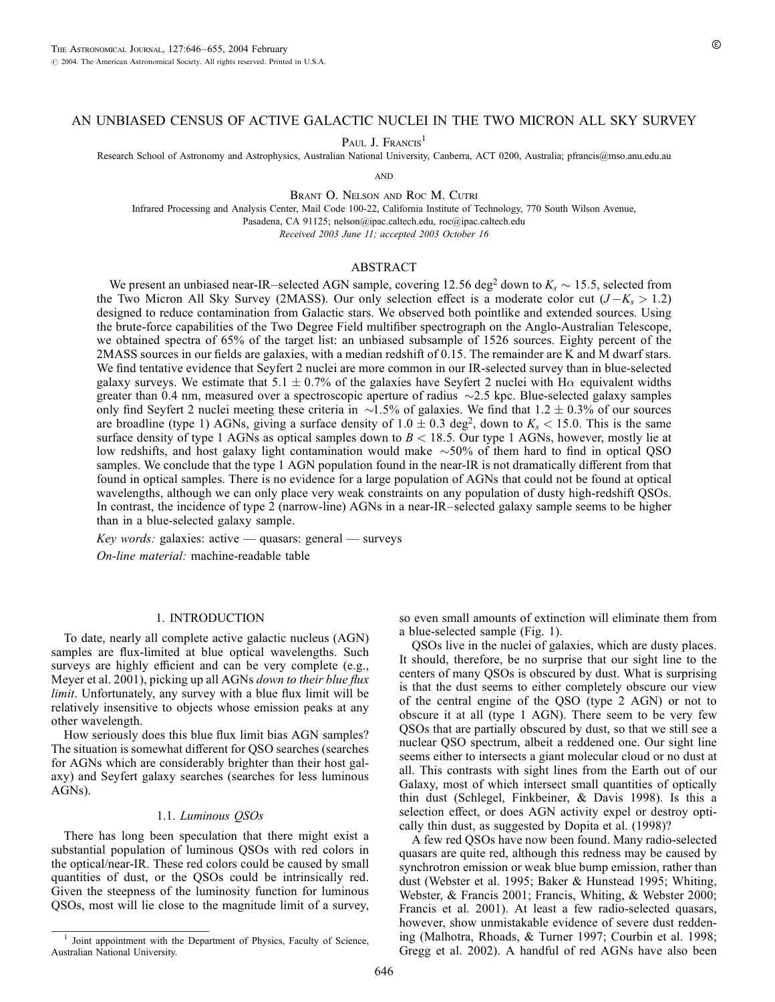## AN UNBIASED CENSUS OF ACTIVE GALACTIC NUCLEI IN THE TWO MICRON ALL SKY SURVEY

PAUL J. FRANCIS<sup>1</sup>

Research School of Astronomy and Astrophysics, Australian National University, Canberra, ACT 0200, Australia; pfrancis@mso.anu.edu.au

**AND** 

Brant O. Nelson and Roc M. Cutri

Infrared Processing and Analysis Center, Mail Code 100-22, California Institute of Technology, 770 South Wilson Avenue, Pasadena, CA 91125; nelson@ipac.caltech.edu, roc@ipac.caltech.edu

Received 2003 June 11; accepted 2003 October 16

## ABSTRACT

We present an unbiased near-IR–selected AGN sample, covering 12.56 deg<sup>2</sup> down to  $K_s \sim 15.5$ , selected from the Two Micron All Sky Survey (2MASS). Our only selection effect is a moderate color cut  $(J-K_s > 1.2)$ designed to reduce contamination from Galactic stars. We observed both pointlike and extended sources. Using the brute-force capabilities of the Two Degree Field multifiber spectrograph on the Anglo-Australian Telescope, we obtained spectra of 65% of the target list: an unbiased subsample of 1526 sources. Eighty percent of the 2MASS sources in our fields are galaxies, with a median redshift of 0.15. The remainder are K and M dwarf stars. We find tentative evidence that Seyfert 2 nuclei are more common in our IR-selected survey than in blue-selected galaxy surveys. We estimate that 5.1  $\pm$  0.7% of the galaxies have Seyfert 2 nuclei with H $\alpha$  equivalent widths greater than 0.4 nm, measured over a spectroscopic aperture of radius  $\sim$ 2.5 kpc. Blue-selected galaxy samples only find Seyfert 2 nuclei meeting these criteria in  $\sim$ 1.5% of galaxies. We find that 1.2  $\pm$  0.3% of our sources are broadline (type 1) AGNs, giving a surface density of  $1.0 \pm 0.3$  deg<sup>2</sup>, down to  $K_s < 15.0$ . This is the same surface density of type 1 AGNs as optical samples down to  $B < 18.5$ . Our type 1 AGNs, however, mostly lie at low redshifts, and host galaxy light contamination would make  $\sim$ 50% of them hard to find in optical QSO samples. We conclude that the type 1 AGN population found in the near-IR is not dramatically different from that found in optical samples. There is no evidence for a large population of AGNs that could not be found at optical wavelengths, although we can only place very weak constraints on any population of dusty high-redshift QSOs. In contrast, the incidence of type 2 (narrow-line) AGNs in a near-IR–selected galaxy sample seems to be higher than in a blue-selected galaxy sample.

Key words: galaxies: active — quasars: general — surveys On-line material: machine-readable table

## 1. INTRODUCTION

To date, nearly all complete active galactic nucleus (AGN) samples are flux-limited at blue optical wavelengths. Such surveys are highly efficient and can be very complete (e.g., Meyer et al. 2001), picking up all AGNs down to their blue flux *limit*. Unfortunately, any survey with a blue flux limit will be relatively insensitive to objects whose emission peaks at any other wavelength.

How seriously does this blue flux limit bias AGN samples? The situation is somewhat different for QSO searches (searches for AGNs which are considerably brighter than their host galaxy) and Seyfert galaxy searches (searches for less luminous AGNs).

#### 1.1. Luminous QSOs

There has long been speculation that there might exist a substantial population of luminous QSOs with red colors in the optical/near-IR. These red colors could be caused by small quantities of dust, or the QSOs could be intrinsically red. Given the steepness of the luminosity function for luminous QSOs, most will lie close to the magnitude limit of a survey, so even small amounts of extinction will eliminate them from a blue-selected sample (Fig. 1).

QSOs live in the nuclei of galaxies, which are dusty places. It should, therefore, be no surprise that our sight line to the centers of many QSOs is obscured by dust. What is surprising is that the dust seems to either completely obscure our view of the central engine of the QSO (type 2 AGN) or not to obscure it at all (type 1 AGN). There seem to be very few QSOs that are partially obscured by dust, so that we still see a nuclear QSO spectrum, albeit a reddened one. Our sight line seems either to intersects a giant molecular cloud or no dust at all. This contrasts with sight lines from the Earth out of our Galaxy, most of which intersect small quantities of optically thin dust (Schlegel, Finkbeiner, & Davis 1998). Is this a selection effect, or does AGN activity expel or destroy optically thin dust, as suggested by Dopita et al. (1998)?

A few red QSOs have now been found. Many radio-selected quasars are quite red, although this redness may be caused by synchrotron emission or weak blue bump emission, rather than dust (Webster et al. 1995; Baker & Hunstead 1995; Whiting, Webster, & Francis 2001; Francis, Whiting, & Webster 2000; Francis et al. 2001). At least a few radio-selected quasars, however, show unmistakable evidence of severe dust reddening (Malhotra, Rhoads, & Turner 1997; Courbin et al. 1998; Gregg et al. 2002). A handful of red AGNs have also been

<sup>1</sup> Joint appointment with the Department of Physics, Faculty of Science, Australian National University.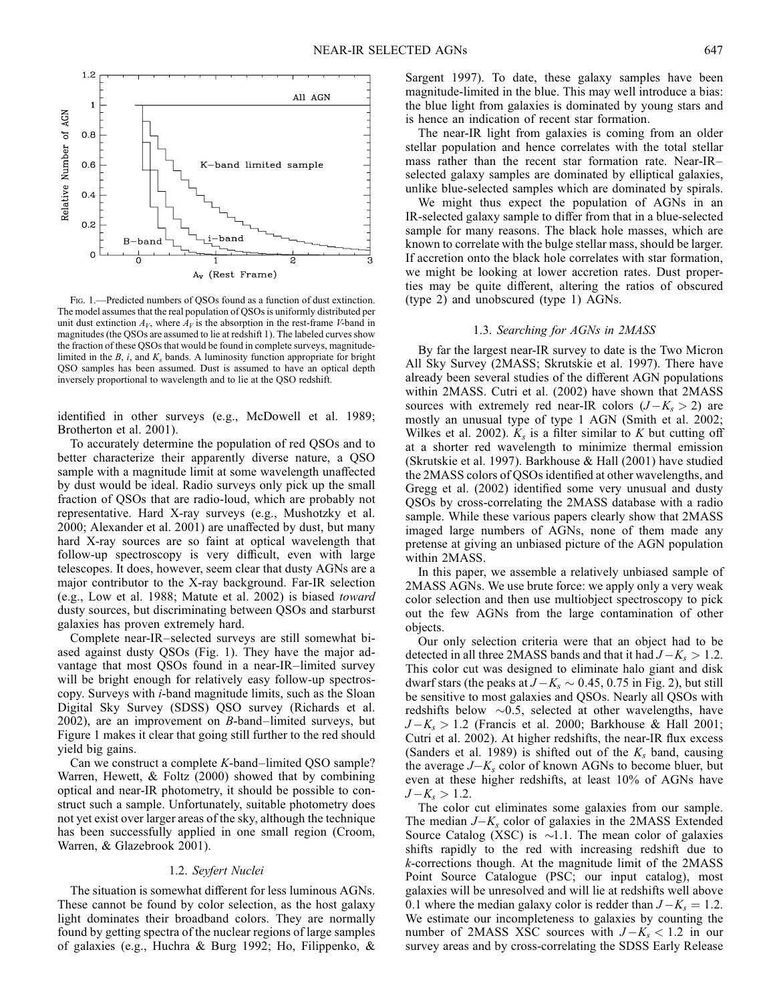

Fig. 1.—Predicted numbers of QSOs found as a function of dust extinction. The model assumes that the real population of QSOs is uniformly distributed per unit dust extinction  $A_V$ , where  $A_V$  is the absorption in the rest-frame V-band in magnitudes (the QSOs are assumed to lie at redshift 1). The labeled curves show the fraction of these QSOs that would be found in complete surveys, magnitudelimited in the  $B$ , i, and  $K_s$  bands. A luminosity function appropriate for bright QSO samples has been assumed. Dust is assumed to have an optical depth inversely proportional to wavelength and to lie at the QSO redshift.

identified in other surveys (e.g., McDowell et al. 1989; Brotherton et al. 2001).

To accurately determine the population of red QSOs and to better characterize their apparently diverse nature, a QSO sample with a magnitude limit at some wavelength unaffected by dust would be ideal. Radio surveys only pick up the small fraction of QSOs that are radio-loud, which are probably not representative. Hard X-ray surveys (e.g., Mushotzky et al. 2000; Alexander et al. 2001) are unaffected by dust, but many hard X-ray sources are so faint at optical wavelength that follow-up spectroscopy is very difficult, even with large telescopes. It does, however, seem clear that dusty AGNs are a major contributor to the X-ray background. Far-IR selection (e.g., Low et al. 1988; Matute et al. 2002) is biased toward dusty sources, but discriminating between QSOs and starburst galaxies has proven extremely hard.

Complete near-IR–selected surveys are still somewhat biased against dusty QSOs (Fig. 1). They have the major advantage that most QSOs found in a near-IR–limited survey will be bright enough for relatively easy follow-up spectroscopy. Surveys with i-band magnitude limits, such as the Sloan Digital Sky Survey (SDSS) QSO survey (Richards et al.  $2002$ ), are an improvement on  $B$ -band–limited surveys, but Figure 1 makes it clear that going still further to the red should yield big gains.

Can we construct a complete K-band–limited QSO sample? Warren, Hewett, & Foltz (2000) showed that by combining optical and near-IR photometry, it should be possible to construct such a sample. Unfortunately, suitable photometry does not yet exist over larger areas of the sky, although the technique has been successfully applied in one small region (Croom, Warren, & Glazebrook 2001).

#### 1.2. Seyfert Nuclei

The situation is somewhat different for less luminous AGNs. These cannot be found by color selection, as the host galaxy light dominates their broadband colors. They are normally found by getting spectra of the nuclear regions of large samples of galaxies (e.g., Huchra & Burg 1992; Ho, Filippenko, & Sargent 1997). To date, these galaxy samples have been magnitude-limited in the blue. This may well introduce a bias: the blue light from galaxies is dominated by young stars and is hence an indication of recent star formation.

The near-IR light from galaxies is coming from an older stellar population and hence correlates with the total stellar mass rather than the recent star formation rate. Near-IR– selected galaxy samples are dominated by elliptical galaxies, unlike blue-selected samples which are dominated by spirals.

We might thus expect the population of AGNs in an IR-selected galaxy sample to differ from that in a blue-selected sample for many reasons. The black hole masses, which are known to correlate with the bulge stellar mass, should be larger. If accretion onto the black hole correlates with star formation, we might be looking at lower accretion rates. Dust properties may be quite different, altering the ratios of obscured (type 2) and unobscured (type 1) AGNs.

#### 1.3. Searching for AGNs in 2MASS

By far the largest near-IR survey to date is the Two Micron All Sky Survey (2MASS; Skrutskie et al. 1997). There have already been several studies of the different AGN populations within 2MASS. Cutri et al. (2002) have shown that 2MASS sources with extremely red near-IR colors  $(J - K_s > 2)$  are mostly an unusual type of type 1 AGN (Smith et al. 2002; Wilkes et al. 2002).  $K_s$  is a filter similar to K but cutting off at a shorter red wavelength to minimize thermal emission (Skrutskie et al. 1997). Barkhouse & Hall (2001) have studied the 2MASS colors of QSOs identified at other wavelengths, and Gregg et al. (2002) identified some very unusual and dusty QSOs by cross-correlating the 2MASS database with a radio sample. While these various papers clearly show that 2MASS imaged large numbers of AGNs, none of them made any pretense at giving an unbiased picture of the AGN population within 2MASS.

In this paper, we assemble a relatively unbiased sample of 2MASS AGNs. We use brute force: we apply only a very weak color selection and then use multiobject spectroscopy to pick out the few AGNs from the large contamination of other objects.

Our only selection criteria were that an object had to be detected in all three 2MASS bands and that it had  $J - K_s > 1.2$ . This color cut was designed to eliminate halo giant and disk dwarf stars (the peaks at  $J-K_s \sim 0.45, 0.75$  in Fig. 2), but still be sensitive to most galaxies and QSOs. Nearly all QSOs with redshifts below  $\sim 0.5$ , selected at other wavelengths, have  $J-K_s > 1.2$  (Francis et al. 2000; Barkhouse & Hall 2001; Cutri et al. 2002). At higher redshifts, the near-IR flux excess (Sanders et al. 1989) is shifted out of the  $K_s$  band, causing the average  $J-K_s$  color of known AGNs to become bluer, but even at these higher redshifts, at least 10% of AGNs have  $J-K_s > 1.2$ .

The color cut eliminates some galaxies from our sample. The median  $J-K_s$  color of galaxies in the 2MASS Extended Source Catalog (XSC) is  $\sim$ 1.1. The mean color of galaxies shifts rapidly to the red with increasing redshift due to k-corrections though. At the magnitude limit of the 2MASS Point Source Catalogue (PSC; our input catalog), most galaxies will be unresolved and will lie at redshifts well above 0.1 where the median galaxy color is redder than  $J - K_s = 1.2$ . We estimate our incompleteness to galaxies by counting the number of 2MASS XSC sources with  $J-K_s < 1.2$  in our survey areas and by cross-correlating the SDSS Early Release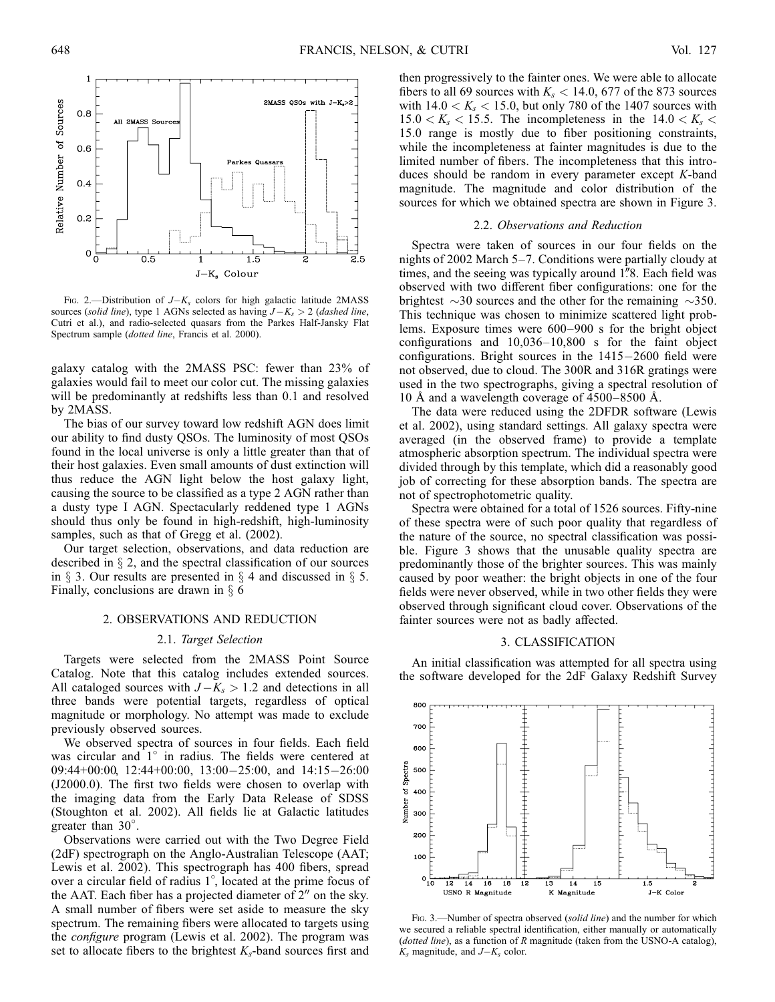

FIG. 2.—Distribution of  $J-K_s$  colors for high galactic latitude 2MASS sources (solid line), type 1 AGNs selected as having  $J-K_s > 2$  (dashed line, Cutri et al.), and radio-selected quasars from the Parkes Half-Jansky Flat Spectrum sample (dotted line, Francis et al. 2000).

galaxy catalog with the 2MASS PSC: fewer than 23% of galaxies would fail to meet our color cut. The missing galaxies will be predominantly at redshifts less than 0.1 and resolved by 2MASS.

The bias of our survey toward low redshift AGN does limit our ability to find dusty QSOs. The luminosity of most QSOs found in the local universe is only a little greater than that of their host galaxies. Even small amounts of dust extinction will thus reduce the AGN light below the host galaxy light, causing the source to be classified as a type 2 AGN rather than a dusty type I AGN. Spectacularly reddened type 1 AGNs should thus only be found in high-redshift, high-luminosity samples, such as that of Gregg et al. (2002).

Our target selection, observations, and data reduction are described in  $\S 2$ , and the spectral classification of our sources in  $\S$  3. Our results are presented in  $\S$  4 and discussed in  $\S$  5. Finally, conclusions are drawn in  $\S$  6

### 2. OBSERVATIONS AND REDUCTION

## 2.1. Target Selection

Targets were selected from the 2MASS Point Source Catalog. Note that this catalog includes extended sources. All cataloged sources with  $J - K_s > 1.2$  and detections in all three bands were potential targets, regardless of optical magnitude or morphology. No attempt was made to exclude previously observed sources.

We observed spectra of sources in four fields. Each field was circular and  $1^\circ$  in radius. The fields were centered at 09:44+00:00, 12:44+00:00, 13:00-25:00, and 14:15-26:00 (J2000.0). The first two fields were chosen to overlap with the imaging data from the Early Data Release of SDSS (Stoughton et al. 2002). All fields lie at Galactic latitudes greater than 30°.

Observations were carried out with the Two Degree Field (2dF) spectrograph on the Anglo-Australian Telescope (AAT; Lewis et al. 2002). This spectrograph has 400 fibers, spread over a circular field of radius 1 , located at the prime focus of the AAT. Each fiber has a projected diameter of  $2<sup>0</sup>$  on the sky. A small number of fibers were set aside to measure the sky spectrum. The remaining fibers were allocated to targets using the configure program (Lewis et al. 2002). The program was set to allocate fibers to the brightest  $K_s$ -band sources first and

then progressively to the fainter ones. We were able to allocate fibers to all 69 sources with  $K_s < 14.0, 677$  of the 873 sources with  $14.0 < K_s < 15.0$ , but only 780 of the 1407 sources with  $15.0 < K<sub>s</sub> < 15.5$ . The incompleteness in the  $14.0 < K<sub>s</sub> <$ 15:0 range is mostly due to fiber positioning constraints, while the incompleteness at fainter magnitudes is due to the limited number of fibers. The incompleteness that this introduces should be random in every parameter except K-band magnitude. The magnitude and color distribution of the sources for which we obtained spectra are shown in Figure 3.

#### 2.2. Observations and Reduction

Spectra were taken of sources in our four fields on the nights of 2002 March 5–7. Conditions were partially cloudy at times, and the seeing was typically around 1.<sup>8</sup>8. Each field was observed with two different fiber configurations: one for the brightest  $\sim$ 30 sources and the other for the remaining  $\sim$ 350. This technique was chosen to minimize scattered light problems. Exposure times were 600–900 s for the bright object configurations and 10,036–10,800 s for the faint object configurations. Bright sources in the 1415-2600 field were not observed, due to cloud. The 300R and 316R gratings were used in the two spectrographs, giving a spectral resolution of 10 Å and a wavelength coverage of  $4500-8500$  Å.

The data were reduced using the 2DFDR software (Lewis et al. 2002), using standard settings. All galaxy spectra were averaged (in the observed frame) to provide a template atmospheric absorption spectrum. The individual spectra were divided through by this template, which did a reasonably good job of correcting for these absorption bands. The spectra are not of spectrophotometric quality.

Spectra were obtained for a total of 1526 sources. Fifty-nine of these spectra were of such poor quality that regardless of the nature of the source, no spectral classification was possible. Figure 3 shows that the unusable quality spectra are predominantly those of the brighter sources. This was mainly caused by poor weather: the bright objects in one of the four fields were never observed, while in two other fields they were observed through significant cloud cover. Observations of the fainter sources were not as badly affected.

## 3. CLASSIFICATION

An initial classification was attempted for all spectra using the software developed for the 2dF Galaxy Redshift Survey



FIG. 3.—Number of spectra observed (solid line) and the number for which we secured a reliable spectral identification, either manually or automatically (dotted line), as a function of R magnitude (taken from the USNO-A catalog),  $K_s$  magnitude, and  $J-K_s$  color.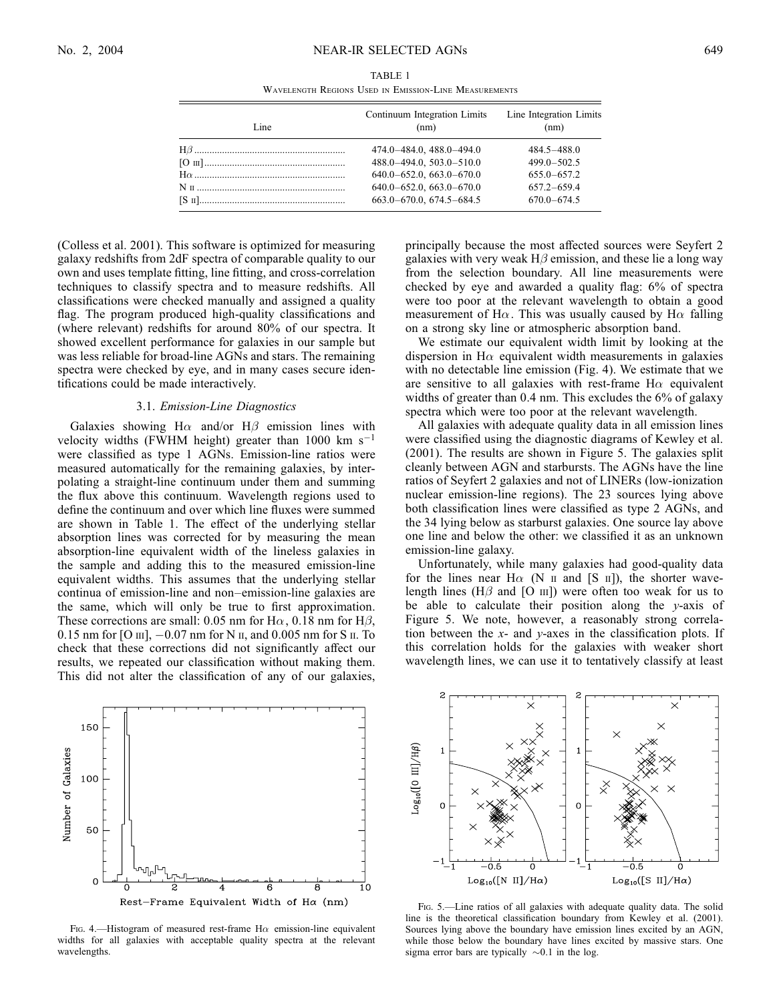Wavelength Regions Used in Emission-Line Measurements

| Line | Continuum Integration Limits<br>(nm) | Line Integration Limits<br>(nm) |  |  |
|------|--------------------------------------|---------------------------------|--|--|
|      | 474.0-484.0, 488.0-494.0             | $484.5 - 488.0$                 |  |  |
|      | 488.0-494.0, 503.0-510.0             | $499.0 - 502.5$                 |  |  |
|      | $640.0 - 652.0, 663.0 - 670.0$       | $655.0 - 657.2$                 |  |  |
|      | $640.0 - 652.0, 663.0 - 670.0$       | $657.2 - 659.4$                 |  |  |
|      | $663.0 - 670.0$ , $674.5 - 684.5$    | $670.0 - 674.5$                 |  |  |

(Colless et al. 2001). This software is optimized for measuring galaxy redshifts from 2dF spectra of comparable quality to our own and uses template fitting, line fitting, and cross-correlation techniques to classify spectra and to measure redshifts. All classifications were checked manually and assigned a quality flag. The program produced high-quality classifications and (where relevant) redshifts for around 80% of our spectra. It showed excellent performance for galaxies in our sample but was less reliable for broad-line AGNs and stars. The remaining spectra were checked by eye, and in many cases secure identifications could be made interactively.

#### 3.1. Emission-Line Diagnostics

Galaxies showing H $\alpha$  and/or H $\beta$  emission lines with velocity widths (FWHM height) greater than  $1000 \text{ km s}^{-1}$ were classified as type 1 AGNs. Emission-line ratios were measured automatically for the remaining galaxies, by interpolating a straight-line continuum under them and summing the flux above this continuum. Wavelength regions used to define the continuum and over which line fluxes were summed are shown in Table 1. The effect of the underlying stellar absorption lines was corrected for by measuring the mean absorption-line equivalent width of the lineless galaxies in the sample and adding this to the measured emission-line equivalent widths. This assumes that the underlying stellar continua of emission-line and non–emission-line galaxies are the same, which will only be true to first approximation. These corrections are small: 0.05 nm for H $\alpha$ , 0.18 nm for H $\beta$ , 0.15 nm for [O  $\text{III}$ ],  $-0.07$  nm for N  $\text{II}$ , and 0.005 nm for S  $\text{II}$ . To check that these corrections did not significantly affect our results, we repeated our classification without making them. This did not alter the classification of any of our galaxies,



FIG. 4.—Histogram of measured rest-frame H $\alpha$  emission-line equivalent widths for all galaxies with acceptable quality spectra at the relevant wavelengths.

principally because the most affected sources were Seyfert 2 galaxies with very weak  $H\beta$  emission, and these lie a long way from the selection boundary. All line measurements were checked by eye and awarded a quality flag: 6% of spectra were too poor at the relevant wavelength to obtain a good measurement of H $\alpha$ . This was usually caused by H $\alpha$  falling on a strong sky line or atmospheric absorption band.

We estimate our equivalent width limit by looking at the dispersion in H $\alpha$  equivalent width measurements in galaxies with no detectable line emission (Fig. 4). We estimate that we are sensitive to all galaxies with rest-frame  $H\alpha$  equivalent widths of greater than 0.4 nm. This excludes the 6% of galaxy spectra which were too poor at the relevant wavelength.

All galaxies with adequate quality data in all emission lines were classified using the diagnostic diagrams of Kewley et al. (2001). The results are shown in Figure 5. The galaxies split cleanly between AGN and starbursts. The AGNs have the line ratios of Seyfert 2 galaxies and not of LINERs (low-ionization nuclear emission-line regions). The 23 sources lying above both classification lines were classified as type 2 AGNs, and the 34 lying below as starburst galaxies. One source lay above one line and below the other: we classified it as an unknown emission-line galaxy.

Unfortunately, while many galaxies had good-quality data for the lines near H $\alpha$  (N  $\pi$  and [S  $\pi$ ]), the shorter wavelength lines ( $H\beta$  and [O  $\text{III}$ ]) were often too weak for us to be able to calculate their position along the  $y$ -axis of Figure 5. We note, however, a reasonably strong correlation between the  $x$ - and  $y$ -axes in the classification plots. If this correlation holds for the galaxies with weaker short wavelength lines, we can use it to tentatively classify at least



F<sub>IG</sub>. 5.—Line ratios of all galaxies with adequate quality data. The solid line is the theoretical classification boundary from Kewley et al. (2001). Sources lying above the boundary have emission lines excited by an AGN, while those below the boundary have lines excited by massive stars. One sigma error bars are typically  $\sim 0.1$  in the log.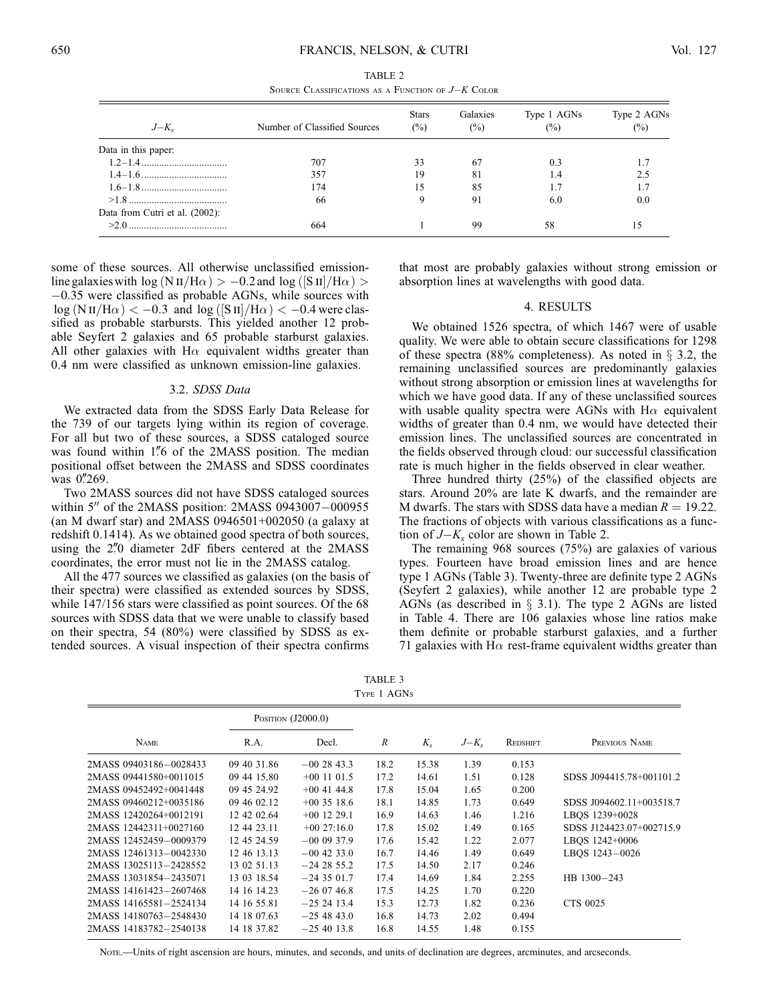| SOURCE CLASSIFICATIONS AS A FUNCTION OF $J-K$ COLOR |                              |                               |                            |                               |                               |  |  |  |  |
|-----------------------------------------------------|------------------------------|-------------------------------|----------------------------|-------------------------------|-------------------------------|--|--|--|--|
| $J-K_{\rm s}$                                       | Number of Classified Sources | <b>Stars</b><br>$\frac{6}{2}$ | Galaxies<br>$\binom{0}{0}$ | Type 1 AGNs<br>$\binom{0}{0}$ | Type 2 AGNs<br>$\binom{0}{0}$ |  |  |  |  |
| Data in this paper:                                 |                              |                               |                            |                               |                               |  |  |  |  |
|                                                     | 707                          | 33                            | 67                         | 0.3                           |                               |  |  |  |  |
|                                                     | 357                          | 19                            | 81                         | 1.4                           | 2.5                           |  |  |  |  |
|                                                     | 174                          | 15                            | 85                         | 1.7                           | 1.7                           |  |  |  |  |
|                                                     | 66                           | 9                             | 91                         | 6.0                           | 0.0                           |  |  |  |  |
| Data from Cutri et al. (2002):                      |                              |                               |                            |                               |                               |  |  |  |  |
|                                                     | 664                          |                               | 99                         | 58                            | 15                            |  |  |  |  |

TABLE 2

some of these sources. All otherwise unclassified emissionline galaxies with  $\log (N \text{ II/H}\alpha) > -0.2$  and  $\log ([S \text{ II]/H}\alpha) >$ -0:35 were classified as probable AGNs, while sources with  $\log (N \text{ II/H}\alpha) < -0.3$  and  $\log ([S \text{ II]/H}\alpha) < -0.4$  were classified as probable starbursts. This yielded another 12 probable Seyfert 2 galaxies and 65 probable starburst galaxies. All other galaxies with  $H\alpha$  equivalent widths greater than 0.4 nm were classified as unknown emission-line galaxies.

#### 3.2. SDSS Data

We extracted data from the SDSS Early Data Release for the 739 of our targets lying within its region of coverage. For all but two of these sources, a SDSS cataloged source was found within 1.76 of the 2MASS position. The median positional offset between the 2MASS and SDSS coordinates was 0.269.

Two 2MASS sources did not have SDSS cataloged sources within  $5''$  of the 2MASS position: 2MASS 0943007-000955 (an M dwarf star) and  $2MASS 0946501+002050$  (a galaxy at redshift 0.1414). As we obtained good spectra of both sources, using the 2"0 diameter 2dF fibers centered at the 2MASS coordinates, the error must not lie in the 2MASS catalog.

All the 477 sources we classified as galaxies (on the basis of their spectra) were classified as extended sources by SDSS, while 147/156 stars were classified as point sources. Of the 68 sources with SDSS data that we were unable to classify based on their spectra, 54 (80%) were classified by SDSS as extended sources. A visual inspection of their spectra confirms

that most are probably galaxies without strong emission or absorption lines at wavelengths with good data.

## 4. RESULTS

We obtained 1526 spectra, of which 1467 were of usable quality. We were able to obtain secure classifications for 1298 of these spectra (88% completeness). As noted in  $\S$  3.2, the remaining unclassified sources are predominantly galaxies without strong absorption or emission lines at wavelengths for which we have good data. If any of these unclassified sources with usable quality spectra were AGNs with  $H\alpha$  equivalent widths of greater than 0.4 nm, we would have detected their emission lines. The unclassified sources are concentrated in the fields observed through cloud: our successful classification rate is much higher in the fields observed in clear weather.

Three hundred thirty (25%) of the classified objects are stars. Around 20% are late K dwarfs, and the remainder are M dwarfs. The stars with SDSS data have a median  $R = 19.22$ . The fractions of objects with various classifications as a function of  $J-K_s$  color are shown in Table 2.

The remaining 968 sources (75%) are galaxies of various types. Fourteen have broad emission lines and are hence type 1 AGNs (Table 3). Twenty-three are definite type 2 AGNs (Seyfert 2 galaxies), while another 12 are probable type 2 AGNs (as described in  $\S$  3.1). The type 2 AGNs are listed in Table 4. There are 106 galaxies whose line ratios make them definite or probable starburst galaxies, and a further 71 galaxies with H $\alpha$  rest-frame equivalent widths greater than

TABLE 3 Type 1 AGNs

|                        | POSITION $(J2000.0)$ |               |      |         |           |          |                          |
|------------------------|----------------------|---------------|------|---------|-----------|----------|--------------------------|
| <b>NAME</b>            | R.A.                 | Decl.         | R    | $K_{s}$ | $J-K_{s}$ | REDSHIFT | PREVIOUS NAME            |
| 2MASS 09403186-0028433 | 09 40 31.86          | $-002843.3$   | 18.2 | 15.38   | 1.39      | 0.153    |                          |
| 2MASS 09441580+0011015 | 09 44 15.80          | $+00$ 11 01.5 | 17.2 | 14.61   | 1.51      | 0.128    | SDSS J094415.78+001101.2 |
| 2MASS 09452492+0041448 | 09 45 24.92          | $+00$ 41 44.8 | 17.8 | 15.04   | 1.65      | 0.200    |                          |
| 2MASS 09460212+0035186 | 09 46 02.12          | $+00$ 35 18.6 | 18.1 | 14.85   | 1.73      | 0.649    | SDSS J094602.11+003518.7 |
| 2MASS 12420264+0012191 | 12 42 02.64          | $+00$ 12 29.1 | 16.9 | 14.63   | 1.46      | 1.216    | LBOS 1239+0028           |
| 2MASS 12442311+0027160 | 12 44 23.11          | $+0027:16.0$  | 17.8 | 15.02   | 1.49      | 0.165    | SDSS J124423.07+002715.9 |
| 2MASS 12452459-0009379 | 12 45 24.59          | $-000937.9$   | 17.6 | 15.42   | 1.22      | 2.077    | LBOS 1242+0006           |
| 2MASS 12461313-0042330 | 12 46 13.13          | $-00$ 42 33.0 | 16.7 | 14.46   | 1.49      | 0.649    | LBOS 1243-0026           |
| 2MASS 13025113-2428552 | 13 02 51.13          | $-242855.2$   | 17.5 | 14.50   | 2.17      | 0.246    |                          |
| 2MASS 13031854-2435071 | 13 03 18.54          | $-243501.7$   | 17.4 | 14.69   | 1.84      | 2.255    | HB 1300-243              |
| 2MASS 14161423-2607468 | 14 16 14.23          | $-26.0746.8$  | 17.5 | 14.25   | 1.70      | 0.220    |                          |
| 2MASS 14165581-2524134 | 14 16 55.81          | $-25$ 24 13.4 | 15.3 | 12.73   | 1.82      | 0.236    | CTS 0025                 |
| 2MASS 14180763-2548430 | 14 18 07.63          | $-25,48,43,0$ | 16.8 | 14.73   | 2.02      | 0.494    |                          |
| 2MASS 14183782-2540138 | 14 18 37.82          | $-25$ 40 13.8 | 16.8 | 14.55   | 1.48      | 0.155    |                          |
|                        |                      |               |      |         |           |          |                          |

Note.—Units of right ascension are hours, minutes, and seconds, and units of declination are degrees, arcminutes, and arcseconds.

 $\equiv$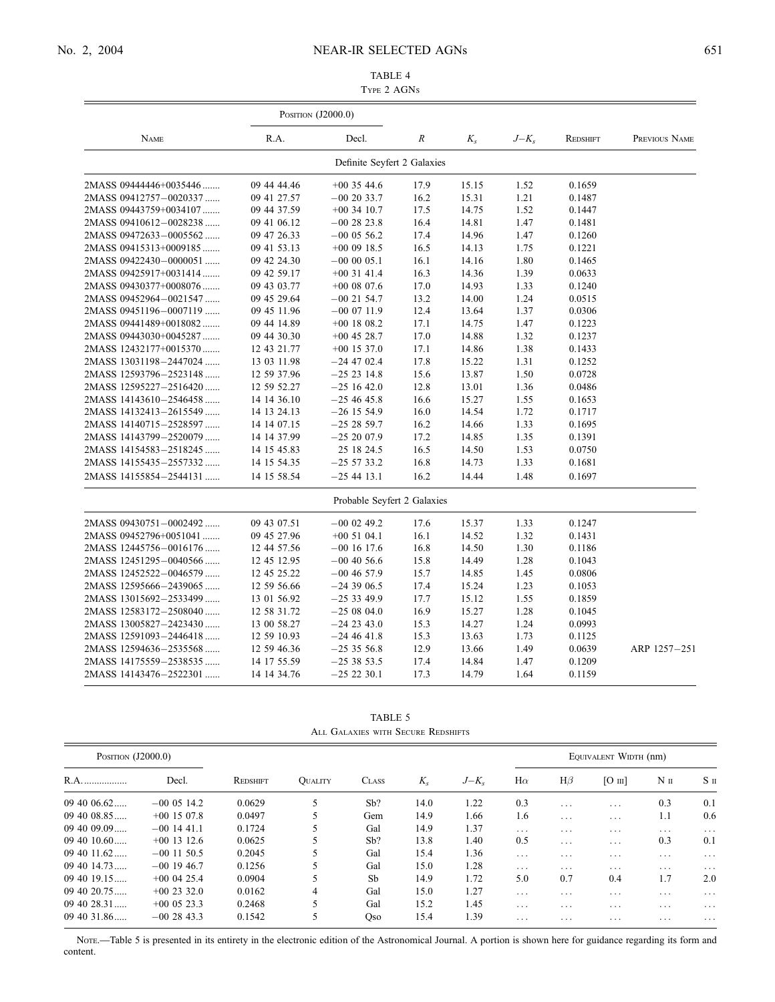# No. 2, 2004 NEAR-IR SELECTED AGNs 651

## TABLE 4 Type 2 AGNs

|                        | POSITION $(J2000.0)$ |                             |      |         |               |          |               |
|------------------------|----------------------|-----------------------------|------|---------|---------------|----------|---------------|
| <b>NAME</b>            | R.A.                 | Decl.                       | R    | $K_{s}$ | $J-K_{\rm s}$ | REDSHIFT | PREVIOUS NAME |
|                        |                      | Definite Seyfert 2 Galaxies |      |         |               |          |               |
| 2MASS 09444446+0035446 | 09 44 44.46          | $+00$ 35 44.6               | 17.9 | 15.15   | 1.52          | 0.1659   |               |
| 2MASS 09412757-0020337 | 09 41 27.57          | $-00$ 20 33.7               | 16.2 | 15.31   | 1.21          | 0.1487   |               |
| 2MASS 09443759+0034107 | 09 44 37.59          | $+00$ 34 10.7               | 17.5 | 14.75   | 1.52          | 0.1447   |               |
| 2MASS 09410612-0028238 | 09 41 06.12          | $-002823.8$                 | 16.4 | 14.81   | 1.47          | 0.1481   |               |
| 2MASS 09472633-0005562 | 09 47 26.33          | $-00$ 05 56.2               | 17.4 | 14.96   | 1.47          | 0.1260   |               |
| 2MASS 09415313+0009185 | 09 41 53.13          | $+00$ 09 18.5               | 16.5 | 14.13   | 1.75          | 0.1221   |               |
| 2MASS 09422430-0000051 | 09 42 24.30          | $-000005.1$                 | 16.1 | 14.16   | 1.80          | 0.1465   |               |
| 2MASS 09425917+0031414 | 09 42 59.17          | $+00$ 31 41.4               | 16.3 | 14.36   | 1.39          | 0.0633   |               |
| 2MASS 09430377+0008076 | 09 43 03.77          | $+00$ 08 07.6               | 17.0 | 14.93   | 1.33          | 0.1240   |               |
| 2MASS 09452964-0021547 | 09 45 29.64          | $-00$ 21 54.7               | 13.2 | 14.00   | 1.24          | 0.0515   |               |
| 2MASS 09451196-0007119 | 09 45 11.96          | $-000711.9$                 | 12.4 | 13.64   | 1.37          | 0.0306   |               |
| 2MASS 09441489+0018082 | 09 44 14.89          | $+00$ 18 08.2               | 17.1 | 14.75   | 1.47          | 0.1223   |               |
| 2MASS 09443030+0045287 | 09 44 30.30          | $+00$ 45 28.7               | 17.0 | 14.88   | 1.32          | 0.1237   |               |
| 2MASS 12432177+0015370 | 12 43 21.77          | $+00$ 15 37.0               | 17.1 | 14.86   | 1.38          | 0.1433   |               |
| 2MASS 13031198-2447024 | 13 03 11.98          | $-24$ 47 02.4               | 17.8 | 15.22   | 1.31          | 0.1252   |               |
| 2MASS 12593796-2523148 | 12 59 37.96          | $-252314.8$                 | 15.6 | 13.87   | 1.50          | 0.0728   |               |
| 2MASS 12595227-2516420 | 12 59 52.27          | $-251642.0$                 | 12.8 | 13.01   | 1.36          | 0.0486   |               |
| 2MASS 14143610-2546458 | 14 14 36.10          | $-254645.8$                 | 16.6 | 15.27   | 1.55          | 0.1653   |               |
| 2MASS 14132413-2615549 | 14 13 24.13          | $-26$ 15 54.9               | 16.0 | 14.54   | 1.72          | 0.1717   |               |
| 2MASS 14140715-2528597 | 14 14 07.15          | $-252859.7$                 | 16.2 | 14.66   | 1.33          | 0.1695   |               |
| 2MASS 14143799-2520079 | 14 14 37.99          | $-252007.9$                 | 17.2 | 14.85   | 1.35          | 0.1391   |               |
| 2MASS 14154583-2518245 | 14 15 45.83          | 25 18 24.5                  | 16.5 | 14.50   | 1.53          | 0.0750   |               |
| 2MASS 14155435-2557332 | 14 15 54.35          | $-255733.2$                 | 16.8 | 14.73   | 1.33          | 0.1681   |               |
| 2MASS 14155854-2544131 | 14 15 58.54          | $-254413.1$                 | 16.2 | 14.44   | 1.48          | 0.1697   |               |
|                        |                      | Probable Seyfert 2 Galaxies |      |         |               |          |               |
| 2MASS 09430751-0002492 | 09 43 07.51          | $-00$ 02 49.2               | 17.6 | 15.37   | 1.33          | 0.1247   |               |
| 2MASS 09452796+0051041 | 09 45 27.96          | $+00$ 51 04.1               | 16.1 | 14.52   | 1.32          | 0.1431   |               |
| 2MASS 12445756-0016176 | 12 44 57.56          | $-00$ 16 17.6               | 16.8 | 14.50   | 1.30          | 0.1186   |               |
| 2MASS 12451295-0040566 | 12 45 12.95          | $-00$ 40 56.6               | 15.8 | 14.49   | 1.28          | 0.1043   |               |
| 2MASS 12452522-0046579 | 12 45 25.22          | $-00$ 46 57.9               | 15.7 | 14.85   | 1.45          | 0.0806   |               |
| 2MASS 12595666-2439065 | 12 59 56.66          | $-243906.5$                 | 17.4 | 15.24   | 1.23          | 0.1053   |               |
| 2MASS 13015692-2533499 | 13 01 56.92          | $-253349.9$                 | 17.7 | 15.12   | 1.55          | 0.1859   |               |
| 2MASS 12583172-2508040 | 12 58 31.72          | $-250804.0$                 | 16.9 | 15.27   | 1.28          | 0.1045   |               |
| 2MASS 13005827-2423430 | 13 00 58.27          | $-242343.0$                 | 15.3 | 14.27   | 1.24          | 0.0993   |               |
| 2MASS 12591093-2446418 | 12 59 10.93          | $-24$ 46 41.8               | 15.3 | 13.63   | 1.73          | 0.1125   |               |
| 2MASS 12594636-2535568 | 12 59 46.36          | $-253556.8$                 | 12.9 | 13.66   | 1.49          | 0.0639   | ARP 1257-251  |
| 2MASS 14175559-2538535 | 14 17 55.59          | $-253853.5$                 | 17.4 | 14.84   | 1.47          | 0.1209   |               |
| 2MASS 14143476-2522301 |                      |                             | 17.3 | 14.79   | 1.64          |          |               |
|                        | 14 14 34.76          | $-25\;22\;30.1$             |      |         |               | 0.1159   |               |

TABLE 5 All Galaxies with Secure Redshifts

| POSITION $(J2000.0)$ |                 |          |                |              |         |           | EQUIVALENT WIDTH (nm) |          |               |          |                 |
|----------------------|-----------------|----------|----------------|--------------|---------|-----------|-----------------------|----------|---------------|----------|-----------------|
| R.A.                 | Decl.           | REDSHIFT | <b>QUALITY</b> | <b>CLASS</b> | $K_{s}$ | $J-K_{s}$ | $H\alpha$             | $H\beta$ | $[O \t{III}]$ | $N$ II   | S <sub>II</sub> |
| 09,40,06.62          | $-000514.2$     | 0.0629   | 5              | Sb?          | 14.0    | 1.22      | 0.3                   | $\cdots$ | $\cdots$      | 0.3      | 0.1             |
| 09 40 08.85          | $+00$ 15 07.8   | 0.0497   | 5.             | Gem          | 14.9    | 1.66      | 1.6                   | .        | .             | 1.1      | 0.6             |
| $094009.09\dots$     | $-00$ 14 41.1   | 0.1724   |                | Gal          | 14.9    | 1.37      | $\cdots$              | $\cdots$ | .             | $\cdots$ | $\cdots$        |
| 094010.60            | $+00$ 13 12.6   | 0.0625   | 5.             | Sb?          | 13.8    | 1.40      | 0.5                   | $\cdots$ | .             | 0.3      | 0.1             |
| 09 40 11.62          | $-00$ 11 50.5   | 0.2045   |                | Gal          | 15.4    | 1.36      | $\cdots$              | .        | .             | .        | $\cdots$        |
| 094014.73            | $-00$ 19 46.7   | 0.1256   |                | Gal          | 15.0    | 1.28      | $\cdots$              | .        | .             | .        | $\cdots$        |
| $094019.15\dots$     | $+00$ 04 25.4   | 0.0904   |                | Sb           | 14.9    | 1.72      | 5.0                   | 0.7      | 0.4           | 1.7      | 2.0             |
| 094020.75            | $+0023320$      | 0.0162   | 4              | Gal          | 15.0    | 1.27      | $\cdots$              | $\cdots$ | .             | .        | $\cdots$        |
| 09 40 28.31          | $+00$ 0.5 2.3 3 | 0.2468   | 5              | Gal          | 15.2    | 1.45      | .                     | .        | .             | $\cdots$ | $\cdots$        |
| 09 40 31.86          | $-002843.3$     | 0.1542   | 5              | Oso          | 15.4    | 1.39      | $\cdots$              | $\cdots$ | .             | $\cdots$ | $\cdots$        |

NOTE.—Table 5 is presented in its entirety in the electronic edition of the Astronomical Journal. A portion is shown here for guidance regarding its form and content.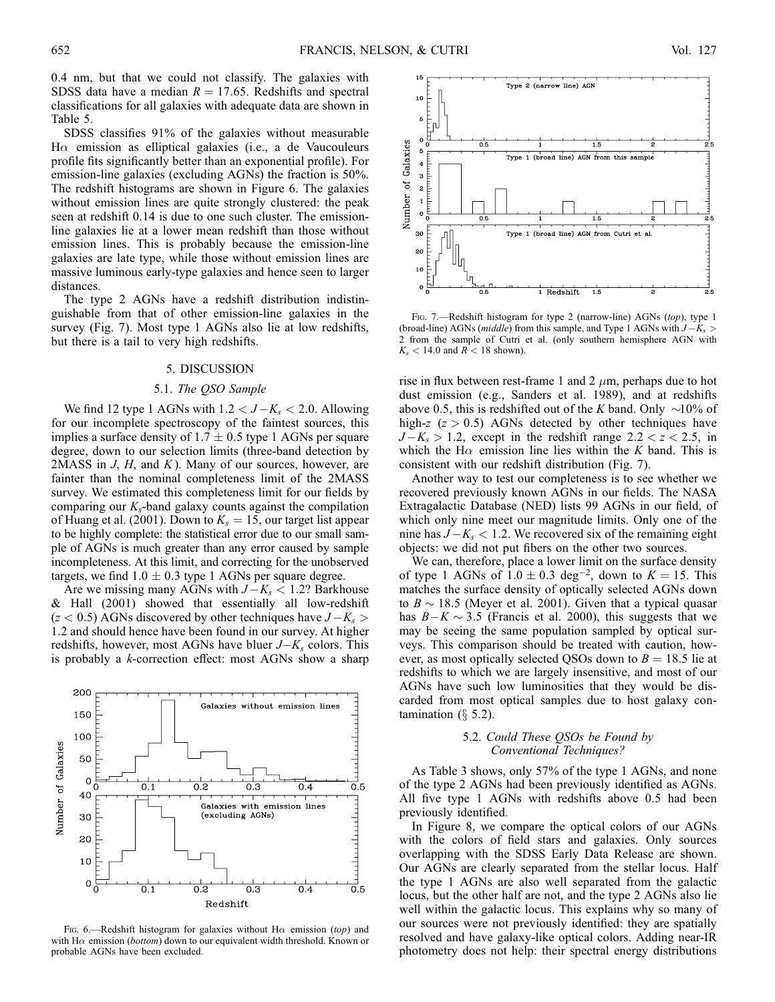15

10

0.4 nm, but that we could not classify. The galaxies with SDSS data have a median  $R = 17.65$ . Redshifts and spectral classifications for all galaxies with adequate data are shown in Table 5.

SDSS classifies 91% of the galaxies without measurable  $H\alpha$  emission as elliptical galaxies (i.e., a de Vaucouleurs profile fits significantly better than an exponential profile). For emission-line galaxies (excluding AGNs) the fraction is 50%. The redshift histograms are shown in Figure 6. The galaxies without emission lines are quite strongly clustered: the peak seen at redshift 0.14 is due to one such cluster. The emissionline galaxies lie at a lower mean redshift than those without emission lines. This is probably because the emission-line galaxies are late type, while those without emission lines are massive luminous early-type galaxies and hence seen to larger distances.

The type 2 AGNs have a redshift distribution indistinguishable from that of other emission-line galaxies in the survey (Fig. 7). Most type 1 AGNs also lie at low redshifts, but there is a tail to very high redshifts.

## 5. DISCUSSION

### 5.1. The QSO Sample

We find 12 type 1 AGNs with  $1.2 < J-K_s < 2.0$ . Allowing for our incomplete spectroscopy of the faintest sources, this implies a surface density of  $1.7 \pm 0.5$  type 1 AGNs per square degree, down to our selection limits (three-band detection by 2MASS in  $J$ ,  $H$ , and  $K$ ). Many of our sources, however, are fainter than the nominal completeness limit of the 2MASS survey. We estimated this completeness limit for our fields by comparing our  $K_s$ -band galaxy counts against the compilation of Huang et al. (2001). Down to  $K_s = 15$ , our target list appear to be highly complete: the statistical error due to our small sample of AGNs is much greater than any error caused by sample incompleteness. At this limit, and correcting for the unobserved targets, we find  $1.0 \pm 0.3$  type 1 AGNs per square degree.

Are we missing many AGNs with  $J-K_s < 1.2$ ? Barkhouse & Hall (2001) showed that essentially all low-redshift  $(z < 0.5)$  AGNs discovered by other techniques have  $J - K_s >$ 1:2 and should hence have been found in our survey. At higher redshifts, however, most AGNs have bluer  $J-K_s$  colors. This is probably a k-correction effect: most AGNs show a sharp

Galaxies

 $\overline{0.3}$ 

 $\overline{0.3}$ 

(excluding AGNs)

Galaxies with emission lines

 $\overline{0.2}$ 

without emission lines

 $\overline{0.4}$ 

 $\overline{0.4}$ 

 $\overline{0.5}$ 

E

 $\overline{0.5}$ 

200

150 100

> 50 C

40

30 20  $1<sup>C</sup>$ 

 $0\frac{E}{0}$ 

 $\overline{0.1}$ 

 $\overline{0.1}$ 

Number of Galaxies



Redshift

 $\overline{0.2}$ 

5 Galaxies  $\overline{0.5}$  $\overline{1.5}$ Type 1 (broad line) AGN from this  $\overline{\mathbf{3}}$  $\rm \dot{\rm o}$  $\overline{c}$ Number  $\overline{1}$  $\circ$  $0.5$ 1.5 30 Type 1 (broad line) AGN from Cutri et al 20 10 1 Redshift

Type 2 (narrow line) AGN

Fig. 7.—Redshift histogram for type 2 (narrow-line) AGNs (top), type 1 (broad-line) AGNs (*middle*) from this sample, and Type 1 AGNs with  $J-K_s$  > 2 from the sample of Cutri et al. (only southern hemisphere AGN with  $K_s$  < 14.0 and  $R$  < 18 shown).

rise in flux between rest-frame 1 and 2  $\mu$ m, perhaps due to hot dust emission (e.g., Sanders et al. 1989), and at redshifts above 0.5, this is redshifted out of the K band. Only  $\sim$ 10% of high-z  $(z > 0.5)$  AGNs detected by other techniques have  $J-K_s > 1.2$ , except in the redshift range  $2.2 < z < 2.5$ , in which the H $\alpha$  emission line lies within the K band. This is consistent with our redshift distribution (Fig. 7).

Another way to test our completeness is to see whether we recovered previously known AGNs in our fields. The NASA Extragalactic Database (NED) lists 99 AGNs in our field, of which only nine meet our magnitude limits. Only one of the nine has  $J-K_s < 1.2$ . We recovered six of the remaining eight objects: we did not put fibers on the other two sources.

We can, therefore, place a lower limit on the surface density of type 1 AGNs of  $1.0 \pm 0.3$  deg<sup>-2</sup>, down to  $K = 15$ . This matches the surface density of optically selected AGNs down to  $B \sim 18.5$  (Meyer et al. 2001). Given that a typical quasar has  $B-K \sim 3.5$  (Francis et al. 2000), this suggests that we may be seeing the same population sampled by optical surveys. This comparison should be treated with caution, however, as most optically selected QSOs down to  $B = 18.5$  lie at redshifts to which we are largely insensitive, and most of our AGNs have such low luminosities that they would be discarded from most optical samples due to host galaxy contamination  $(\S$  5.2).

### 5.2. Could These QSOs be Found by Conventional Techniques?

As Table 3 shows, only 57% of the type 1 AGNs, and none of the type 2 AGNs had been previously identified as AGNs. All five type 1 AGNs with redshifts above 0.5 had been previously identified.

In Figure 8, we compare the optical colors of our AGNs with the colors of field stars and galaxies. Only sources overlapping with the SDSS Early Data Release are shown. Our AGNs are clearly separated from the stellar locus. Half the type 1 AGNs are also well separated from the galactic locus, but the other half are not, and the type 2 AGNs also lie well within the galactic locus. This explains why so many of our sources were not previously identified: they are spatially resolved and have galaxy-like optical colors. Adding near-IR photometry does not help: their spectral energy distributions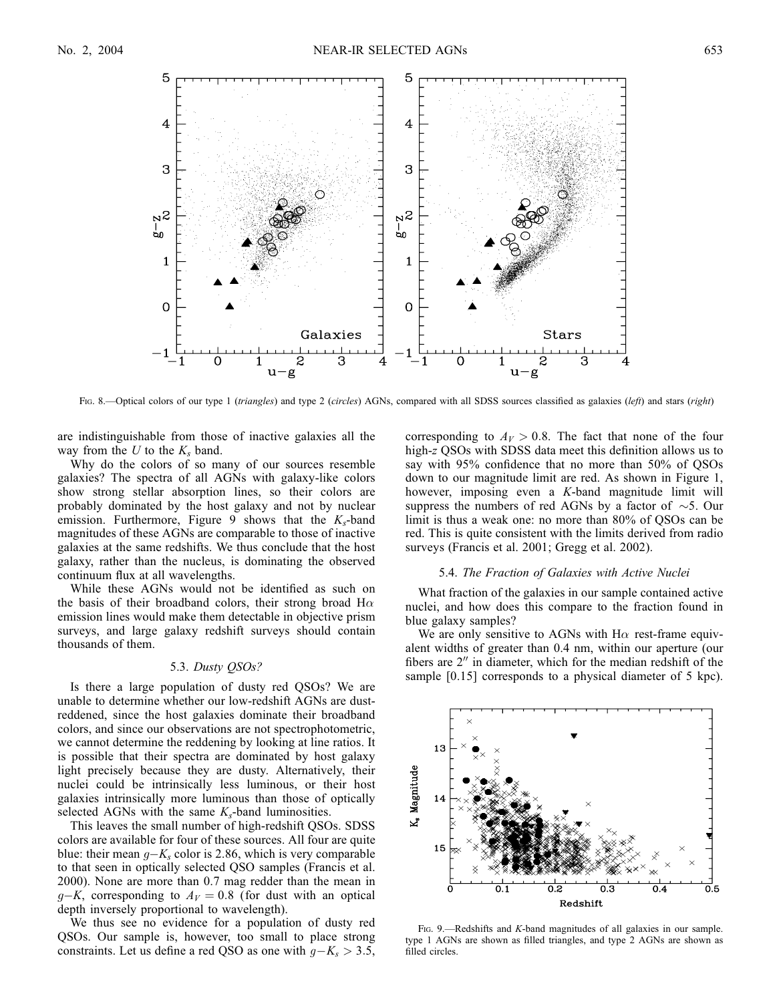

Fig. 8.—Optical colors of our type 1 (triangles) and type 2 (circles) AGNs, compared with all SDSS sources classified as galaxies (left) and stars (right)

are indistinguishable from those of inactive galaxies all the way from the  $U$  to the  $K_s$  band.

 $\mathbf{u}$  $-\mathsf{g}$ 

ು

Why do the colors of so many of our sources resemble galaxies? The spectra of all AGNs with galaxy-like colors show strong stellar absorption lines, so their colors are probably dominated by the host galaxy and not by nuclear emission. Furthermore, Figure 9 shows that the  $K_s$ -band magnitudes of these AGNs are comparable to those of inactive galaxies at the same redshifts. We thus conclude that the host galaxy, rather than the nucleus, is dominating the observed continuum flux at all wavelengths.

While these AGNs would not be identified as such on the basis of their broadband colors, their strong broad  $H\alpha$ emission lines would make them detectable in objective prism surveys, and large galaxy redshift surveys should contain thousands of them.

#### 5.3. Dusty QSOs?

Is there a large population of dusty red QSOs? We are unable to determine whether our low-redshift AGNs are dustreddened, since the host galaxies dominate their broadband colors, and since our observations are not spectrophotometric, we cannot determine the reddening by looking at line ratios. It is possible that their spectra are dominated by host galaxy light precisely because they are dusty. Alternatively, their nuclei could be intrinsically less luminous, or their host galaxies intrinsically more luminous than those of optically selected AGNs with the same  $K_s$ -band luminosities.

This leaves the small number of high-redshift QSOs. SDSS colors are available for four of these sources. All four are quite blue: their mean  $g-K_s$  color is 2.86, which is very comparable to that seen in optically selected QSO samples (Francis et al. 2000). None are more than 0.7 mag redder than the mean in  $g-K$ , corresponding to  $A_V = 0.8$  (for dust with an optical depth inversely proportional to wavelength).

We thus see no evidence for a population of dusty red QSOs. Our sample is, however, too small to place strong constraints. Let us define a red QSO as one with  $g - K_s > 3.5$ ,

corresponding to  $A_V > 0.8$ . The fact that none of the four high-z QSOs with SDSS data meet this definition allows us to say with 95% confidence that no more than 50% of QSOs down to our magnitude limit are red. As shown in Figure 1, however, imposing even a K-band magnitude limit will suppress the numbers of red AGNs by a factor of  $\sim$ 5. Our limit is thus a weak one: no more than 80% of QSOs can be red. This is quite consistent with the limits derived from radio surveys (Francis et al. 2001; Gregg et al. 2002).

u -g

#### 5.4. The Fraction of Galaxies with Active Nuclei

What fraction of the galaxies in our sample contained active nuclei, and how does this compare to the fraction found in blue galaxy samples?

We are only sensitive to AGNs with  $H\alpha$  rest-frame equivalent widths of greater than 0.4 nm, within our aperture (our fibers are  $2<sup>''</sup>$  in diameter, which for the median redshift of the sample [0.15] corresponds to a physical diameter of 5 kpc).



FIG. 9.—Redshifts and K-band magnitudes of all galaxies in our sample. type 1 AGNs are shown as filled triangles, and type 2 AGNs are shown as filled circles.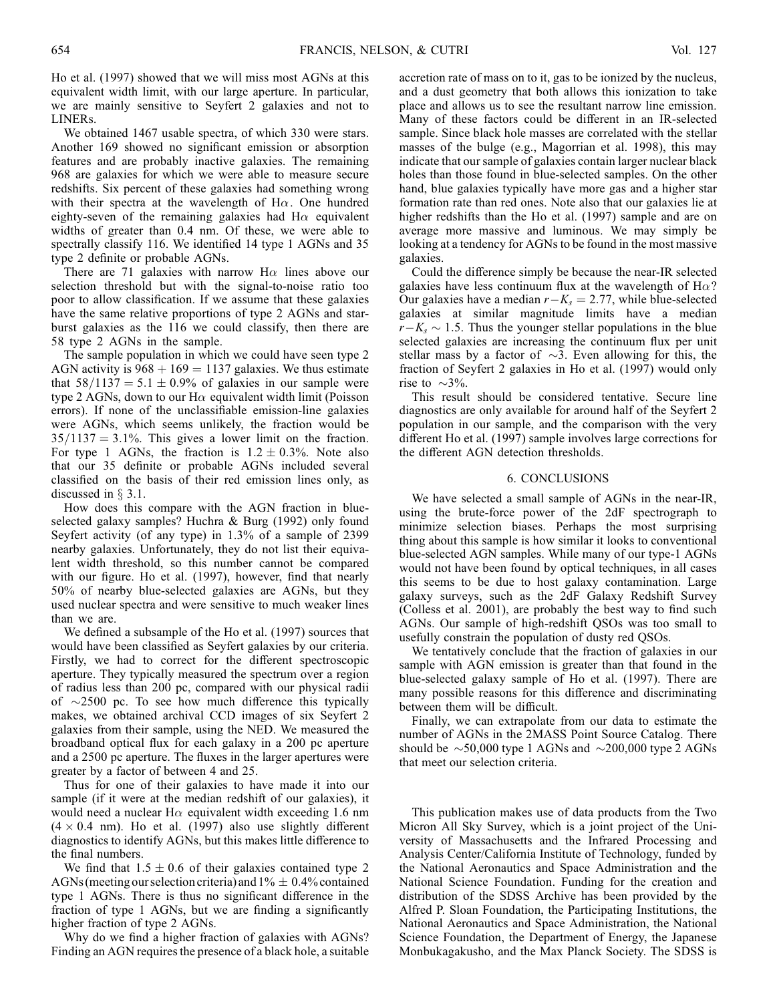Ho et al. (1997) showed that we will miss most AGNs at this equivalent width limit, with our large aperture. In particular, we are mainly sensitive to Seyfert 2 galaxies and not to LINERs.

We obtained 1467 usable spectra, of which 330 were stars. Another 169 showed no significant emission or absorption features and are probably inactive galaxies. The remaining 968 are galaxies for which we were able to measure secure redshifts. Six percent of these galaxies had something wrong with their spectra at the wavelength of H $\alpha$ . One hundred eighty-seven of the remaining galaxies had  $H\alpha$  equivalent widths of greater than 0.4 nm. Of these, we were able to spectrally classify 116. We identified 14 type 1 AGNs and 35 type 2 definite or probable AGNs.

There are 71 galaxies with narrow  $H\alpha$  lines above our selection threshold but with the signal-to-noise ratio too poor to allow classification. If we assume that these galaxies have the same relative proportions of type 2 AGNs and starburst galaxies as the 116 we could classify, then there are 58 type 2 AGNs in the sample.

The sample population in which we could have seen type 2 AGN activity is  $968 + 169 = 1137$  galaxies. We thus estimate that  $58/1137 = 5.1 \pm 0.9\%$  of galaxies in our sample were type 2 AGNs, down to our H $\alpha$  equivalent width limit (Poisson errors). If none of the unclassifiable emission-line galaxies were AGNs, which seems unlikely, the fraction would be  $35/1137 = 3.1\%$ . This gives a lower limit on the fraction. For type 1 AGNs, the fraction is  $1.2 \pm 0.3\%$ . Note also that our 35 definite or probable AGNs included several classified on the basis of their red emission lines only, as discussed in  $\S 3.1$ .

How does this compare with the AGN fraction in blueselected galaxy samples? Huchra & Burg (1992) only found Seyfert activity (of any type) in 1.3% of a sample of 2399 nearby galaxies. Unfortunately, they do not list their equivalent width threshold, so this number cannot be compared with our figure. Ho et al. (1997), however, find that nearly 50% of nearby blue-selected galaxies are AGNs, but they used nuclear spectra and were sensitive to much weaker lines than we are.

We defined a subsample of the Ho et al. (1997) sources that would have been classified as Seyfert galaxies by our criteria. Firstly, we had to correct for the different spectroscopic aperture. They typically measured the spectrum over a region of radius less than 200 pc, compared with our physical radii of  $\sim$ 2500 pc. To see how much difference this typically makes, we obtained archival CCD images of six Seyfert 2 galaxies from their sample, using the NED. We measured the broadband optical flux for each galaxy in a 200 pc aperture and a 2500 pc aperture. The fluxes in the larger apertures were greater by a factor of between 4 and 25.

Thus for one of their galaxies to have made it into our sample (if it were at the median redshift of our galaxies), it would need a nuclear H $\alpha$  equivalent width exceeding 1.6 nm  $(4 \times 0.4 \text{ nm})$ . Ho et al. (1997) also use slightly different diagnostics to identify AGNs, but this makes little difference to the final numbers.

We find that  $1.5 \pm 0.6$  of their galaxies contained type 2 AGNs (meeting our selection criteria) and  $1\% \pm 0.4\%$  contained type 1 AGNs. There is thus no significant difference in the fraction of type 1 AGNs, but we are finding a significantly higher fraction of type 2 AGNs.

Why do we find a higher fraction of galaxies with AGNs? Finding an AGN requires the presence of a black hole, a suitable

accretion rate of mass on to it, gas to be ionized by the nucleus, and a dust geometry that both allows this ionization to take place and allows us to see the resultant narrow line emission. Many of these factors could be different in an IR-selected sample. Since black hole masses are correlated with the stellar masses of the bulge (e.g., Magorrian et al. 1998), this may indicate that our sample of galaxies contain larger nuclear black holes than those found in blue-selected samples. On the other hand, blue galaxies typically have more gas and a higher star formation rate than red ones. Note also that our galaxies lie at higher redshifts than the Ho et al. (1997) sample and are on average more massive and luminous. We may simply be looking at a tendency for AGNs to be found in the most massive galaxies.

Could the difference simply be because the near-IR selected galaxies have less continuum flux at the wavelength of  $H\alpha$ ? Our galaxies have a median  $r - K_s = 2.77$ , while blue-selected galaxies at similar magnitude limits have a median  $r - K_s \sim 1.5$ . Thus the younger stellar populations in the blue selected galaxies are increasing the continuum flux per unit stellar mass by a factor of  $\sim$ 3. Even allowing for this, the fraction of Seyfert 2 galaxies in Ho et al. (1997) would only rise to  $\sim 3\%$ .

This result should be considered tentative. Secure line diagnostics are only available for around half of the Seyfert 2 population in our sample, and the comparison with the very different Ho et al. (1997) sample involves large corrections for the different AGN detection thresholds.

## 6. CONCLUSIONS

We have selected a small sample of AGNs in the near-IR, using the brute-force power of the 2dF spectrograph to minimize selection biases. Perhaps the most surprising thing about this sample is how similar it looks to conventional blue-selected AGN samples. While many of our type-1 AGNs would not have been found by optical techniques, in all cases this seems to be due to host galaxy contamination. Large galaxy surveys, such as the 2dF Galaxy Redshift Survey (Colless et al. 2001), are probably the best way to find such AGNs. Our sample of high-redshift QSOs was too small to usefully constrain the population of dusty red QSOs.

We tentatively conclude that the fraction of galaxies in our sample with AGN emission is greater than that found in the blue-selected galaxy sample of Ho et al. (1997). There are many possible reasons for this difference and discriminating between them will be difficult.

Finally, we can extrapolate from our data to estimate the number of AGNs in the 2MASS Point Source Catalog. There should be  $\sim$  50,000 type 1 AGNs and  $\sim$  200,000 type 2 AGNs that meet our selection criteria.

This publication makes use of data products from the Two Micron All Sky Survey, which is a joint project of the University of Massachusetts and the Infrared Processing and Analysis Center/California Institute of Technology, funded by the National Aeronautics and Space Administration and the National Science Foundation. Funding for the creation and distribution of the SDSS Archive has been provided by the Alfred P. Sloan Foundation, the Participating Institutions, the National Aeronautics and Space Administration, the National Science Foundation, the Department of Energy, the Japanese Monbukagakusho, and the Max Planck Society. The SDSS is